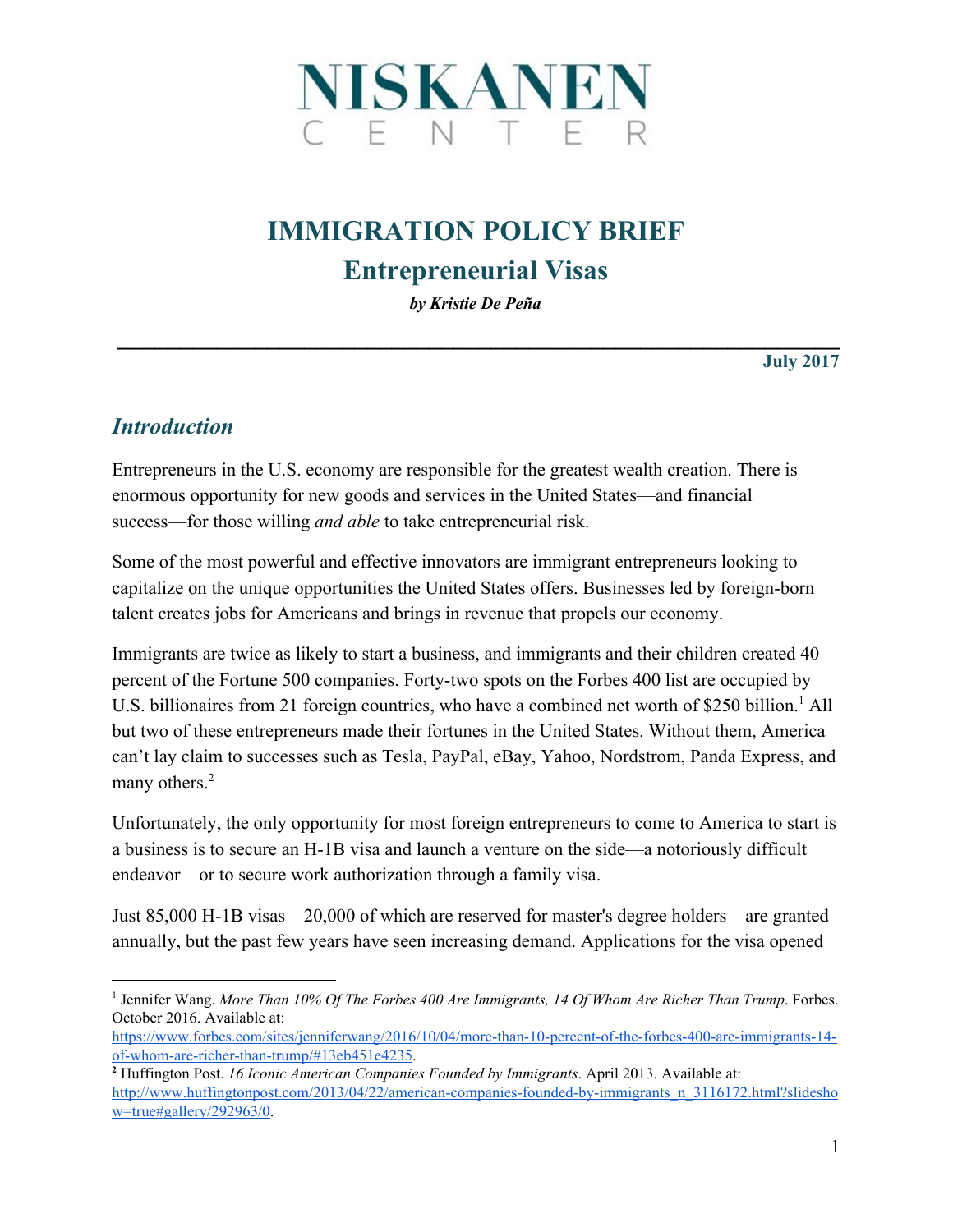

# **IMMIGRATION POLICY BRIEF Entrepreneurial Visas**

*by Kristie De Peña*

**\_\_\_\_\_\_\_\_\_\_\_\_\_\_\_\_\_\_\_\_\_\_\_\_\_\_\_\_\_\_\_\_\_\_\_\_\_\_\_\_\_\_\_\_\_\_\_\_\_\_\_\_\_\_\_\_\_\_ July 2017**

#### *Introduction*

Entrepreneurs in the U.S. economy are responsible for the greatest wealth creation. There is enormous opportunity for new goods and services in the United States—and financial success—for those willing *and able* to take entrepreneurial risk.

Some of the most powerful and effective innovators are immigrant entrepreneurs looking to capitalize on the unique opportunities the United States offers. Businesses led by foreign-born talent creates jobs for Americans and brings in revenue that propels our economy.

Immigrants are twice as likely to start a business, and immigrants and their children created 40 percent of the Fortune 500 companies. Forty-two spots on the Forbes 400 list are occupied by U.S. billionaires from 21 foreign countries, who have a combined net worth of \$250 billion.<sup>1</sup> All but two of these entrepreneurs made their fortunes in the United States. Without them, America can't lay claim to successes such as Tesla, PayPal, eBay, Yahoo, Nordstrom, Panda Express, and many others.<sup>2</sup>

Unfortunately, the only opportunity for most foreign entrepreneurs to come to America to start is a business is to secure an H-1B visa and launch a venture on the side—a notoriously difficult endeavor—or to secure work authorization through a family visa.

Just 85,000 H-1B visas—20,000 of which are reserved for master's degree holders—are granted annually, but the past few years have seen increasing demand. Applications for the visa opened

<sup>1</sup> Jennifer Wang. *More Than 10% Of The Forbes 400 Are Immigrants, 14 Of Whom Are Richer Than Trump*. Forbes. October 2016. Available at:

[https://www.forbes.com/sites/jenniferwang/2016/10/04/more-than-10-percent-of-the-forbes-400-are-immigrants-14](https://www.forbes.com/sites/jenniferwang/2016/10/04/more-than-10-percent-of-the-forbes-400-are-immigrants-14-of-whom-are-richer-than-trump/#13eb451e4235) [of-whom-are-richer-than-trump/#13eb451e4235.](https://www.forbes.com/sites/jenniferwang/2016/10/04/more-than-10-percent-of-the-forbes-400-are-immigrants-14-of-whom-are-richer-than-trump/#13eb451e4235)

**<sup>2</sup>** Huffington Post. *16 Iconic American Companies Founded by Immigrants*. April 2013. Available at: [http://www.huffingtonpost.com/2013/04/22/american-companies-founded-by-immigrants\\_n\\_3116172.html?slidesho](http://www.huffingtonpost.com/2013/04/22/american-companies-founded-by-immigrants_n_3116172.html?slideshow=true#gallery/292963/0) [w=true#gallery/292963/0.](http://www.huffingtonpost.com/2013/04/22/american-companies-founded-by-immigrants_n_3116172.html?slideshow=true#gallery/292963/0)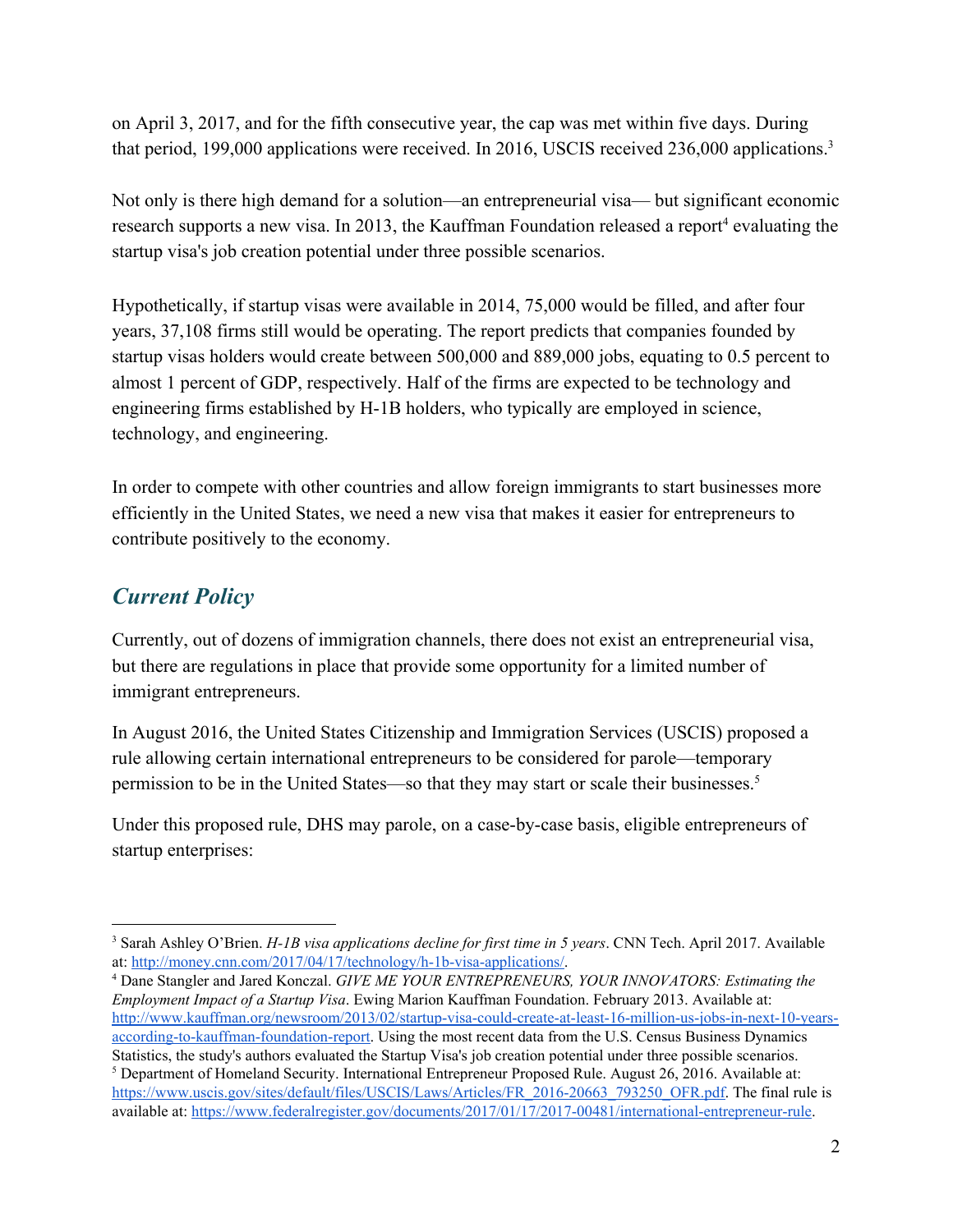on April 3, 2017, and for the fifth consecutive year, the cap was met within five days. During that period, 199,000 applications were received. In 2016, USCIS received 236,000 applications.<sup>3</sup>

Not only is there high demand for a solution—an entrepreneurial visa— but significant economic research supports a new visa. In 2013, the Kauffman Foundation released a report<sup>4</sup> evaluating the startup visa's job creation potential under three possible scenarios.

Hypothetically, if startup visas were available in 2014, 75,000 would be filled, and after four years, 37,108 firms still would be operating. The report predicts that companies founded by startup visas holders would create between 500,000 and 889,000 jobs, equating to 0.5 percent to almost 1 percent of GDP, respectively. Half of the firms are expected to be technology and engineering firms established by H-1B holders, who typically are employed in science, technology, and engineering.

In order to compete with other countries and allow foreign immigrants to start businesses more efficiently in the United States, we need a new visa that makes it easier for entrepreneurs to contribute positively to the economy.

## *Current Policy*

Currently, out of dozens of immigration channels, there does not exist an entrepreneurial visa, but there are regulations in place that provide some opportunity for a limited number of immigrant entrepreneurs.

In August 2016, the United States Citizenship and Immigration Services (USCIS) proposed a rule allowing certain international entrepreneurs to be considered for parole—temporary permission to be in the United States—so that they may start or scale their businesses.<sup>5</sup>

Under this proposed rule, DHS may parole, on a case-by-case basis, eligible entrepreneurs of startup enterprises:

<sup>3</sup> Sarah Ashley O'Brien. *H-1B visa applications decline for first time in 5 years*. CNN Tech. April 2017. Available at: [http://money.cnn.com/2017/04/17/technology/h-1b-visa-applications/.](http://money.cnn.com/2017/04/17/technology/h-1b-visa-applications/)

<sup>4</sup> Dane Stangler and Jared Konczal. *GIVE ME YOUR ENTREPRENEURS, YOUR INNOVATORS: Estimating the Employment Impact of a Startup Visa*. Ewing Marion Kauffman Foundation. February 2013. Available at: [http://www.kauffman.org/newsroom/2013/02/startup-visa-could-create-at-least-16-million-us-jobs-in-next-10-years](http://www.kauffman.org/newsroom/2013/02/startup-visa-could-create-at-least-16-million-us-jobs-in-next-10-years-according-to-kauffman-foundation-report)[according-to-kauffman-foundation-report.](http://www.kauffman.org/newsroom/2013/02/startup-visa-could-create-at-least-16-million-us-jobs-in-next-10-years-according-to-kauffman-foundation-report) Using the most recent data from the U.S. Census Business Dynamics Statistics, the study's authors evaluated the Startup Visa's job creation potential under three possible scenarios.

<sup>5</sup> Department of Homeland Security. International Entrepreneur Proposed Rule. August 26, 2016. Available at: [https://www.uscis.gov/sites/default/files/USCIS/Laws/Articles/FR\\_2016-20663\\_793250\\_OFR.pdf](https://www.uscis.gov/sites/default/files/USCIS/Laws/Articles/FR_2016-20663_793250_OFR.pdf). The final rule is available at: [https://www.federalregister.gov/documents/2017/01/17/2017-00481/international-entrepreneur-rule.](https://www.federalregister.gov/documents/2017/01/17/2017-00481/international-entrepreneur-rule)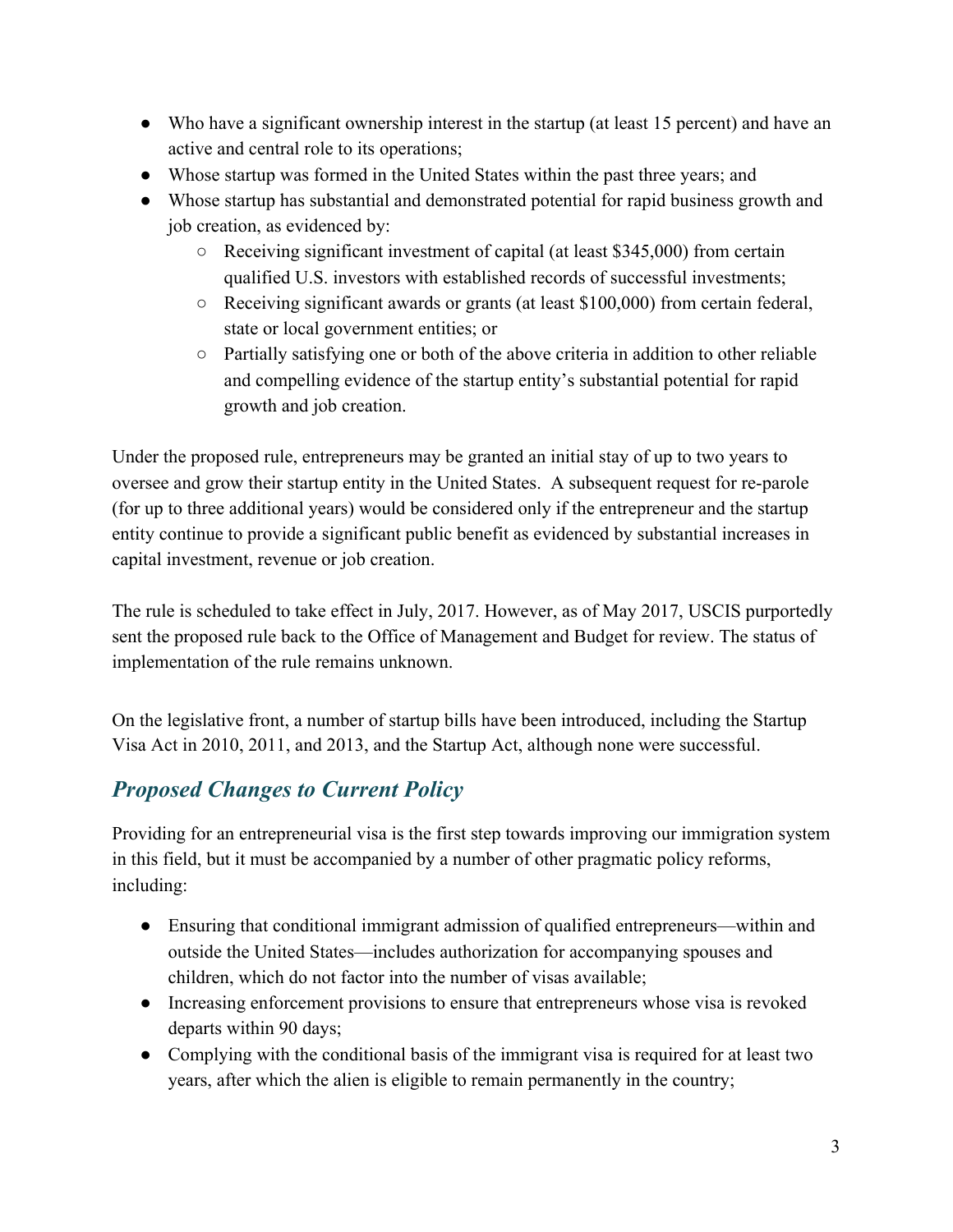- Who have a significant ownership interest in the startup (at least 15 percent) and have an active and central role to its operations;
- Whose startup was formed in the United States within the past three years; and
- Whose startup has substantial and demonstrated potential for rapid business growth and job creation, as evidenced by:
	- Receiving significant investment of capital (at least \$345,000) from certain qualified U.S. investors with established records of successful investments;
	- Receiving significant awards or grants (at least \$100,000) from certain federal, state or local government entities; or
	- $\circ$  Partially satisfying one or both of the above criteria in addition to other reliable and compelling evidence of the startup entity's substantial potential for rapid growth and job creation.

Under the proposed rule, entrepreneurs may be granted an initial stay of up to two years to oversee and grow their startup entity in the United States. A subsequent request for re-parole (for up to three additional years) would be considered only if the entrepreneur and the startup entity continue to provide a significant public benefit as evidenced by substantial increases in capital investment, revenue or job creation.

The rule is scheduled to take effect in July, 2017. However, as of May 2017, USCIS purportedly sent the proposed rule back to the Office of Management and Budget for review. The status of implementation of the rule remains unknown.

On the legislative front, a number of startup bills have been introduced, including the Startup Visa Act in 2010, 2011, and 2013, and the Startup Act, although none were successful.

# *Proposed Changes to Current Policy*

Providing for an entrepreneurial visa is the first step towards improving our immigration system in this field, but it must be accompanied by a number of other pragmatic policy reforms, including:

- Ensuring that conditional immigrant admission of qualified entrepreneurs—within and outside the United States—includes authorization for accompanying spouses and children, which do not factor into the number of visas available;
- Increasing enforcement provisions to ensure that entrepreneurs whose visa is revoked departs within 90 days;
- Complying with the conditional basis of the immigrant visa is required for at least two years, after which the alien is eligible to remain permanently in the country;